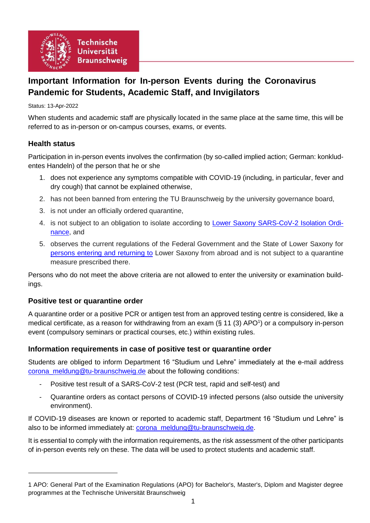

# **Important Information for In-person Events during the Coronavirus Pandemic for Students, Academic Staff, and Invigilators**

Status: 13-Apr-2022

When students and academic staff are physically located in the same place at the same time, this will be referred to as in-person or on-campus courses, exams, or events.

# **Health status**

-

Participation in in-person events involves the confirmation (by so-called implied action; German: konkludentes Handeln) of the person that he or she

- 1. does not experience any symptoms compatible with COVID-19 (including, in particular, fever and dry cough) that cannot be explained otherwise,
- 2. has not been banned from entering the TU Braunschweig by the university governance board,
- 3. is not under an officially ordered quarantine,
- 4. is not subject to an obligation to isolate according to [Lower Saxony SARS-CoV-2 Isolation Ordi](https://www.niedersachsen.de/Coronavirus/Quarantaene/hinweise-zur-quarantane-187498.html)[nance,](https://www.niedersachsen.de/Coronavirus/Quarantaene/hinweise-zur-quarantane-187498.html) and
- 5. observes the current regulations of the Federal Government and the State of Lower Saxony for [persons entering and returning to](https://www.niedersachsen.de/Coronavirus/hinweise-fur-reisende-185450.html) Lower Saxony from abroad and is not subject to a quarantine measure prescribed there.

Persons who do not meet the above criteria are not allowed to enter the university or examination buildings.

### **Positive test or quarantine order**

A quarantine order or a positive PCR or antigen test from an approved testing centre is considered, like a medical certificate, as a reason for withdrawing from an exam  $(\S 11 (3) APO<sup>1</sup>)$  or a compulsory in-person event (compulsory seminars or practical courses, etc.) within existing rules.

### **Information requirements in case of positive test or quarantine order**

Students are obliged to inform Department 16 "Studium und Lehre" immediately at the e-mail address [corona\\_meldung@tu-braunschweig.de](mailto:corona_meldung@tu-braunschweig.de) about the following conditions:

- <span id="page-0-0"></span>Positive test result of a SARS-CoV-2 test (PCR test, rapid and self-test) and
- Quarantine orders as contact persons of COVID-19 infected persons (also outside the university environment).

If COVID-19 diseases are known or reported to academic staff, Department 16 "Studium und Lehre" is also to be informed immediately at: [corona\\_meldung@tu-braunschweig.de.](mailto:corona_meldung@tu-braunschweig.de)

It is essential to comply with the information requirements, as the risk assessment of the other participants of in-person events rely on these. The data will be used to protect students and academic staff.

<sup>1</sup> APO: General Part of the Examination Regulations (APO) for Bachelor's, Master's, Diplom and Magister degree programmes at the Technische Universität Braunschweig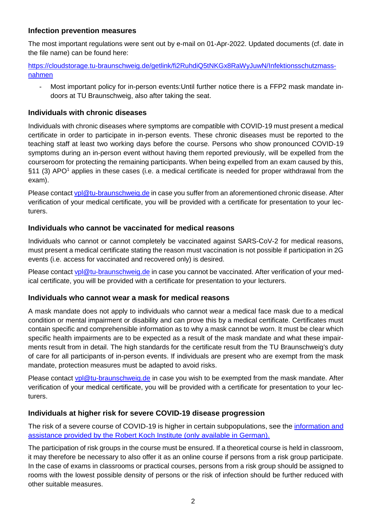# **Infection prevention measures**

The most important regulations were sent out by e-mail on 01-Apr-2022. Updated documents (cf. date in the file name) can be found here:

[https://cloudstorage.tu-braunschweig.de/getlink/fi2RuhdiQ5tNKGx8RaWyJuwN/Infektionsschutzmass](https://cloudstorage.tu-braunschweig.de/getlink/fi2RuhdiQ5tNKGx8RaWyJuwN/Infektionsschutzmassnahmen)[nahmen](https://cloudstorage.tu-braunschweig.de/getlink/fi2RuhdiQ5tNKGx8RaWyJuwN/Infektionsschutzmassnahmen)

Most important policy for in-person events: Until further notice there is a FFP2 mask mandate indoors at TU Braunschweig, also after taking the seat.

# **Individuals with chronic diseases**

Individuals with chronic diseases where symptoms are compatible with COVID-19 must present a medical certificate in order to participate in in-person events. These chronic diseases must be reported to the teaching staff at least two working days before the course. Persons who show pronounced COVID-19 symptoms during an in-person event without having them reported previously, will be expelled from the courseroom for protecting the remaining participants. When being expelled from an exam caused by this,  $\S11$  (3) AP[O](#page-0-0)<sup>1</sup> applies in these cases (i.e. a medical certificate is needed for proper withdrawal from the exam).

Please contact [vpl@tu-braunschweig.de](mailto:vpl@tu-braunschweig.de) in case you suffer from an aforementioned chronic disease. After verification of your medical certificate, you will be provided with a certificate for presentation to your lecturers.

# **Individuals who cannot be vaccinated for medical reasons**

Individuals who cannot or cannot completely be vaccinated against SARS-CoV-2 for medical reasons, must present a medical certificate stating the reason must vaccination is not possible if participation in 2G events (i.e. access for vaccinated and recovered only) is desired.

Please contact [vpl@tu-braunschweig.de](mailto:vpl@tu-braunschweig.de) in case you cannot be vaccinated. After verification of your medical certificate, you will be provided with a certificate for presentation to your lecturers.

### **Individuals who cannot wear a mask for medical reasons**

A mask mandate does not apply to individuals who cannot wear a medical face mask due to a medical condition or mental impairment or disability and can prove this by a medical certificate. Certificates must contain specific and comprehensible information as to why a mask cannot be worn. It must be clear which specific health impairments are to be expected as a result of the mask mandate and what these impairments result from in detail. The high standards for the certificate result from the TU Braunschweig's duty of care for all participants of in-person events. If individuals are present who are exempt from the mask mandate, protection measures must be adapted to avoid risks.

Please contact [vpl@tu-braunschweig.de](mailto:vpl@tu-braunschweig.de) in case you wish to be exempted from the mask mandate. After verification of your medical certificate, you will be provided with a certificate for presentation to your lecturers.

### **Individuals at higher risk for severe COVID-19 disease progression**

The risk of a severe course of COVID-19 is higher in certain subpopulations, see the information and [assistance provided by the Robert Koch Institute \(only available in German\).](https://www.rki.de/DE/Content/InfAZ/N/Neuartiges_Coronavirus/Risikogruppen.html)

The participation of risk groups in the course must be ensured. If a theoretical course is held in classroom, it may therefore be necessary to also offer it as an online course if persons from a risk group participate. In the case of exams in classrooms or practical courses, persons from a risk group should be assigned to rooms with the lowest possible density of persons or the risk of infection should be further reduced with other suitable measures.